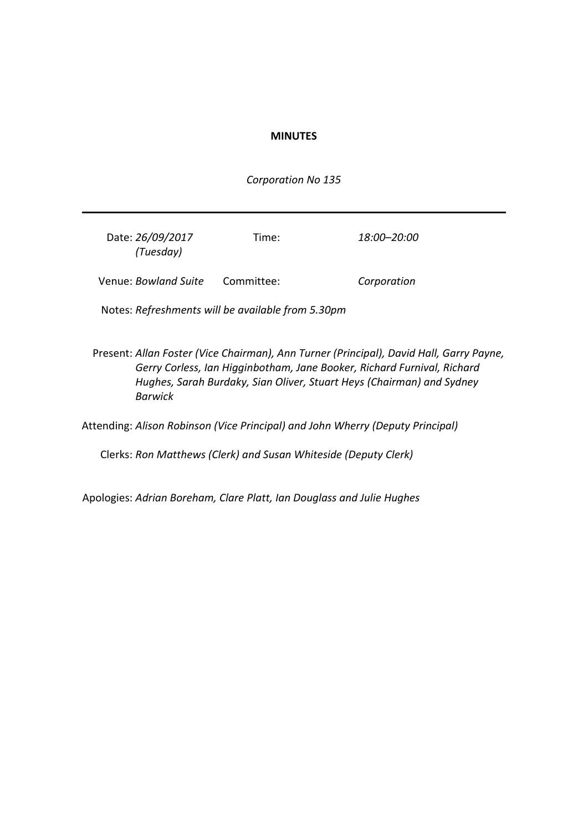### **MINUTES**

*Corporation No 135*

| Date: 26/09/2017<br>(Tuesday) | Time:      | 18:00–20:00 |
|-------------------------------|------------|-------------|
| Venue: Bowland Suite          | Committee: | Corporation |

Notes: *Refreshments will be available from 5.30pm*

Present: *Allan Foster (Vice Chairman), Ann Turner (Principal), David Hall, Garry Payne, Gerry Corless, Ian Higginbotham, Jane Booker, Richard Furnival, Richard Hughes, Sarah Burdaky, Sian Oliver, Stuart Heys (Chairman) and Sydney Barwick*

Attending: *Alison Robinson (Vice Principal) and John Wherry (Deputy Principal)*

Clerks: *Ron Matthews (Clerk) and Susan Whiteside (Deputy Clerk)*

Apologies: *Adrian Boreham, Clare Platt, Ian Douglass and Julie Hughes*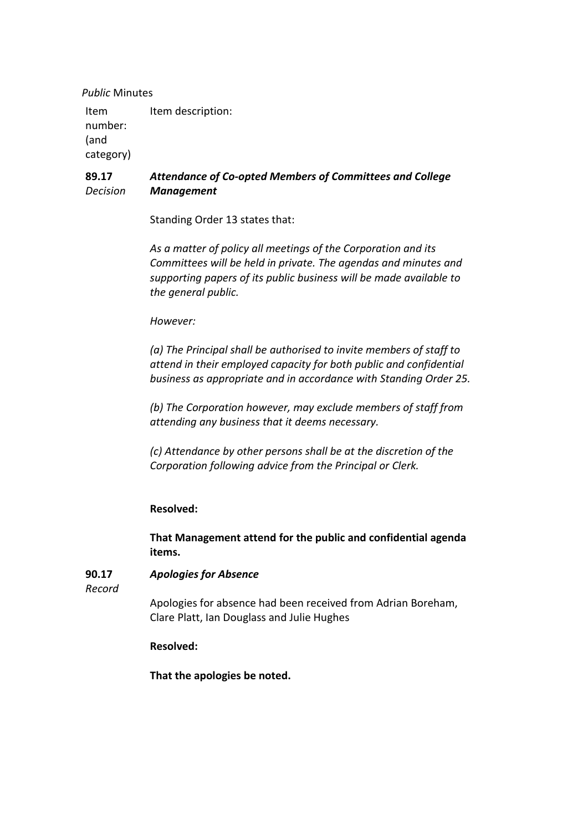*Public* Minutes

Item number: (and category) Item description:

#### **89.17** *Decision Attendance of Co-opted Members of Committees and College Management*

Standing Order 13 states that:

*As a matter of policy all meetings of the Corporation and its Committees will be held in private. The agendas and minutes and supporting papers of its public business will be made available to the general public.*

*However:*

*(a) The Principal shall be authorised to invite members of staff to attend in their employed capacity for both public and confidential business as appropriate and in accordance with Standing Order 25.*

*(b) The Corporation however, may exclude members of staff from attending any business that it deems necessary.*

*(c) Attendance by other persons shall be at the discretion of the Corporation following advice from the Principal or Clerk.*

## **Resolved:**

**That Management attend for the public and confidential agenda items.**

#### **90.17** *Apologies for Absence*

*Record*

Apologies for absence had been received from Adrian Boreham, Clare Platt, Ian Douglass and Julie Hughes

## **Resolved:**

**That the apologies be noted.**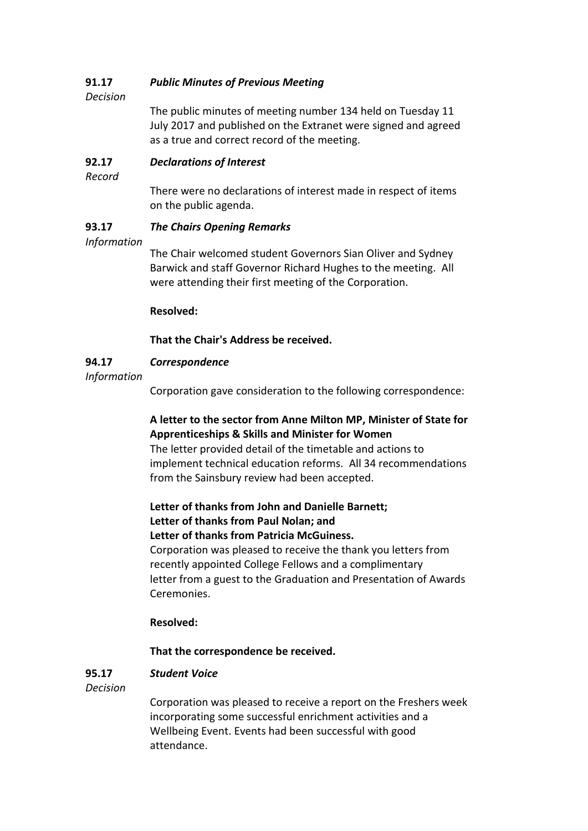#### **91.17** *Public Minutes of Previous Meeting*

*Decision*

The public minutes of meeting number 134 held on Tuesday 11 July 2017 and published on the Extranet were signed and agreed as a true and correct record of the meeting.

#### **92.17** *Declarations of Interest*

*Record*

There were no declarations of interest made in respect of items on the public agenda.

#### **93.17** *The Chairs Opening Remarks*

## *Information*

The Chair welcomed student Governors Sian Oliver and Sydney Barwick and staff Governor Richard Hughes to the meeting. All were attending their first meeting of the Corporation.

## **Resolved:**

## **That the Chair's Address be received.**

#### **94.17** *Correspondence*

*Information*

Corporation gave consideration to the following correspondence:

## **A letter to the sector from Anne Milton MP, Minister of State for Apprenticeships & Skills and Minister for Women**

The letter provided detail of the timetable and actions to implement technical education reforms. All 34 recommendations from the Sainsbury review had been accepted.

# **Letter of thanks from John and Danielle Barnett; Letter of thanks from Paul Nolan; and**

**Letter of thanks from Patricia McGuiness.**

Corporation was pleased to receive the thank you letters from recently appointed College Fellows and a complimentary letter from a guest to the Graduation and Presentation of Awards Ceremonies.

## **Resolved:**

## **That the correspondence be received.**

#### **95.17** *Student Voice*

*Decision*

Corporation was pleased to receive a report on the Freshers week incorporating some successful enrichment activities and a Wellbeing Event. Events had been successful with good attendance.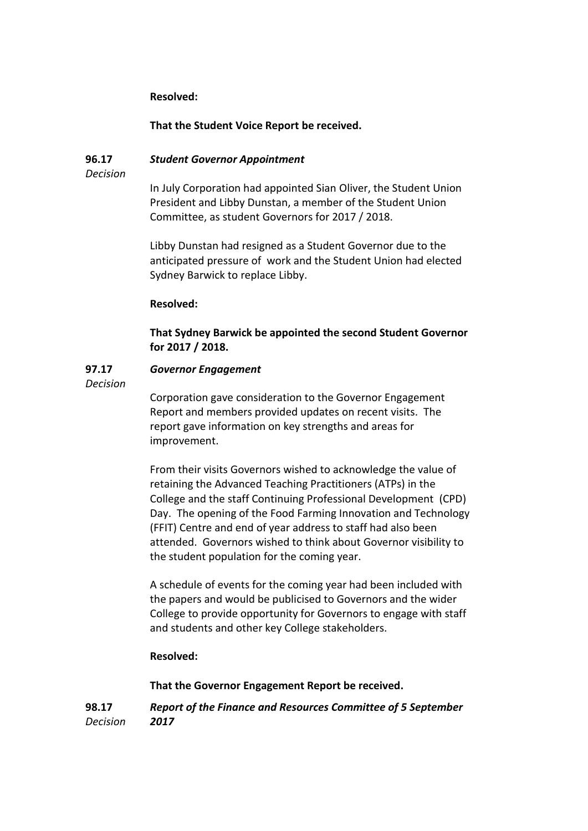## **Resolved:**

### **That the Student Voice Report be received.**

#### **96.17** *Student Governor Appointment*

*Decision*

In July Corporation had appointed Sian Oliver, the Student Union President and Libby Dunstan, a member of the Student Union Committee, as student Governors for 2017 / 2018.

Libby Dunstan had resigned as a Student Governor due to the anticipated pressure of work and the Student Union had elected Sydney Barwick to replace Libby.

### **Resolved:**

**That Sydney Barwick be appointed the second Student Governor for 2017 / 2018.**

#### **97.17** *Governor Engagement*

*Decision*

Corporation gave consideration to the Governor Engagement Report and members provided updates on recent visits. The report gave information on key strengths and areas for improvement.

From their visits Governors wished to acknowledge the value of retaining the Advanced Teaching Practitioners (ATPs) in the College and the staff Continuing Professional Development (CPD) Day. The opening of the Food Farming Innovation and Technology (FFIT) Centre and end of year address to staff had also been attended. Governors wished to think about Governor visibility to the student population for the coming year.

A schedule of events for the coming year had been included with the papers and would be publicised to Governors and the wider College to provide opportunity for Governors to engage with staff and students and other key College stakeholders.

### **Resolved:**

**That the Governor Engagement Report be received.**

**98.17** *Decision Report of the Finance and Resources Committee of 5 September 2017*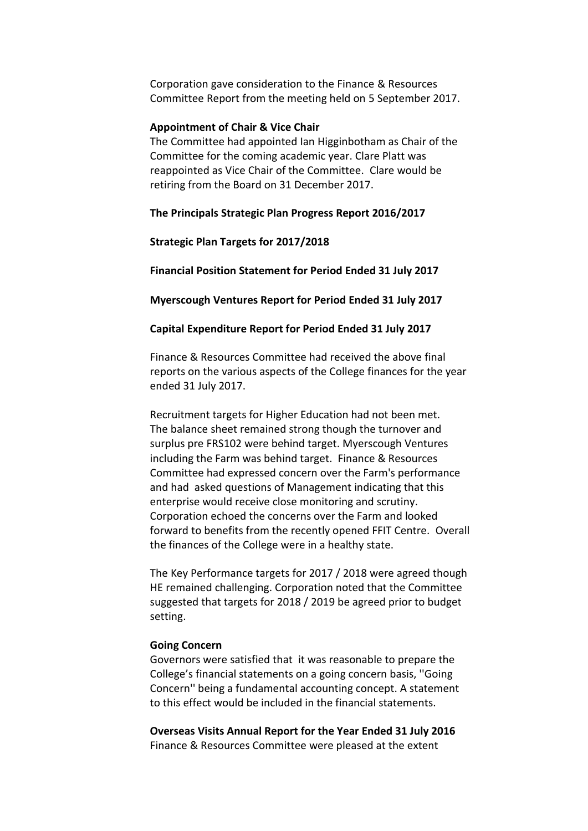Corporation gave consideration to the Finance & Resources Committee Report from the meeting held on 5 September 2017.

### **Appointment of Chair & Vice Chair**

The Committee had appointed Ian Higginbotham as Chair of the Committee for the coming academic year. Clare Platt was reappointed as Vice Chair of the Committee. Clare would be retiring from the Board on 31 December 2017.

**The Principals Strategic Plan Progress Report 2016/2017**

**Strategic Plan Targets for 2017/2018**

**Financial Position Statement for Period Ended 31 July 2017**

**Myerscough Ventures Report for Period Ended 31 July 2017**

**Capital Expenditure Report for Period Ended 31 July 2017**

Finance & Resources Committee had received the above final reports on the various aspects of the College finances for the year ended 31 July 2017.

Recruitment targets for Higher Education had not been met. The balance sheet remained strong though the turnover and surplus pre FRS102 were behind target. Myerscough Ventures including the Farm was behind target. Finance & Resources Committee had expressed concern over the Farm's performance and had asked questions of Management indicating that this enterprise would receive close monitoring and scrutiny. Corporation echoed the concerns over the Farm and looked forward to benefits from the recently opened FFIT Centre. Overall the finances of the College were in a healthy state.

The Key Performance targets for 2017 / 2018 were agreed though HE remained challenging. Corporation noted that the Committee suggested that targets for 2018 / 2019 be agreed prior to budget setting.

### **Going Concern**

Governors were satisfied that it was reasonable to prepare the College's financial statements on a going concern basis, ''Going Concern'' being a fundamental accounting concept. A statement to this effect would be included in the financial statements.

**Overseas Visits Annual Report for the Year Ended 31 July 2016** Finance & Resources Committee were pleased at the extent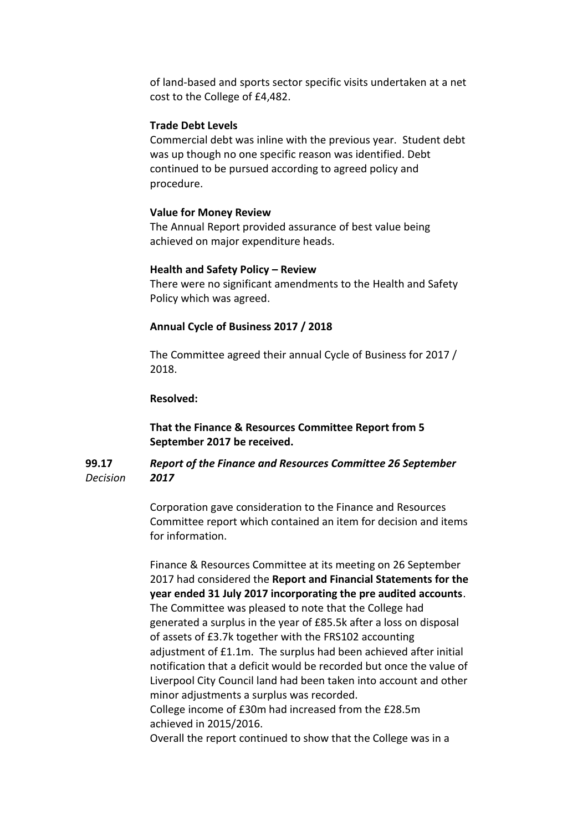of land-based and sports sector specific visits undertaken at a net cost to the College of £4,482.

### **Trade Debt Levels**

Commercial debt was inline with the previous year. Student debt was up though no one specific reason was identified. Debt continued to be pursued according to agreed policy and procedure.

### **Value for Money Review**

The Annual Report provided assurance of best value being achieved on major expenditure heads.

### **Health and Safety Policy – Review**

There were no significant amendments to the Health and Safety Policy which was agreed.

### **Annual Cycle of Business 2017 / 2018**

The Committee agreed their annual Cycle of Business for 2017 / 2018.

### **Resolved:**

**That the Finance & Resources Committee Report from 5 September 2017 be received.**

#### **99.17** *Decision Report of the Finance and Resources Committee 26 September 2017*

Corporation gave consideration to the Finance and Resources Committee report which contained an item for decision and items for information.

Finance & Resources Committee at its meeting on 26 September 2017 had considered the **Report and Financial Statements for the year ended 31 July 2017 incorporating the pre audited accounts**. The Committee was pleased to note that the College had generated a surplus in the year of £85.5k after a loss on disposal of assets of £3.7k together with the FRS102 accounting adjustment of £1.1m. The surplus had been achieved after initial notification that a deficit would be recorded but once the value of Liverpool City Council land had been taken into account and other minor adjustments a surplus was recorded. College income of £30m had increased from the £28.5m achieved in 2015/2016.

Overall the report continued to show that the College was in a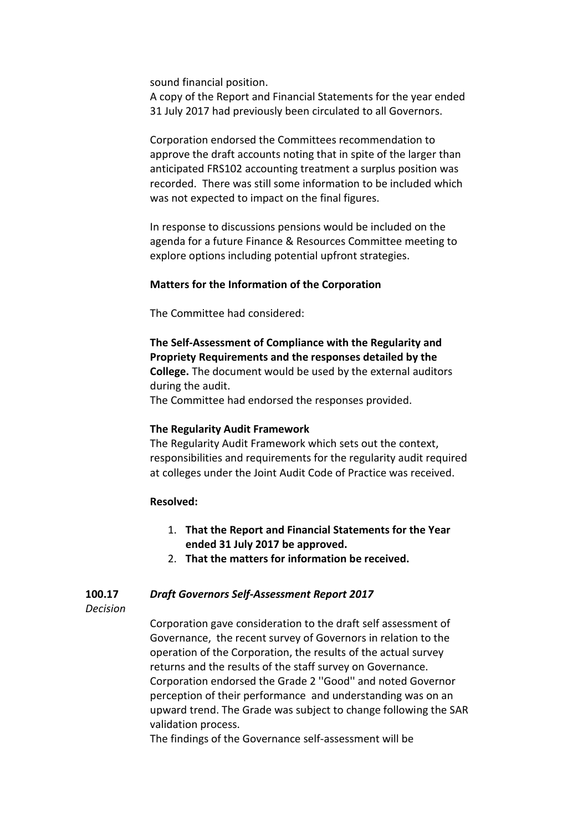sound financial position.

A copy of the Report and Financial Statements for the year ended 31 July 2017 had previously been circulated to all Governors.

Corporation endorsed the Committees recommendation to approve the draft accounts noting that in spite of the larger than anticipated FRS102 accounting treatment a surplus position was recorded. There was still some information to be included which was not expected to impact on the final figures.

In response to discussions pensions would be included on the agenda for a future Finance & Resources Committee meeting to explore options including potential upfront strategies.

### **Matters for the Information of the Corporation**

The Committee had considered:

**The Self-Assessment of Compliance with the Regularity and Propriety Requirements and the responses detailed by the College.** The document would be used by the external auditors during the audit. The Committee had endorsed the responses provided.

## **The Regularity Audit Framework**

The Regularity Audit Framework which sets out the context, responsibilities and requirements for the regularity audit required at colleges under the Joint Audit Code of Practice was received.

### **Resolved:**

- 1. **That the Report and Financial Statements for the Year ended 31 July 2017 be approved.**
- 2. **That the matters for information be received.**

#### **100.17** *Draft Governors Self-Assessment Report 2017*

*Decision*

Corporation gave consideration to the draft self assessment of Governance, the recent survey of Governors in relation to the operation of the Corporation, the results of the actual survey returns and the results of the staff survey on Governance. Corporation endorsed the Grade 2 ''Good'' and noted Governor perception of their performance and understanding was on an upward trend. The Grade was subject to change following the SAR validation process.

The findings of the Governance self-assessment will be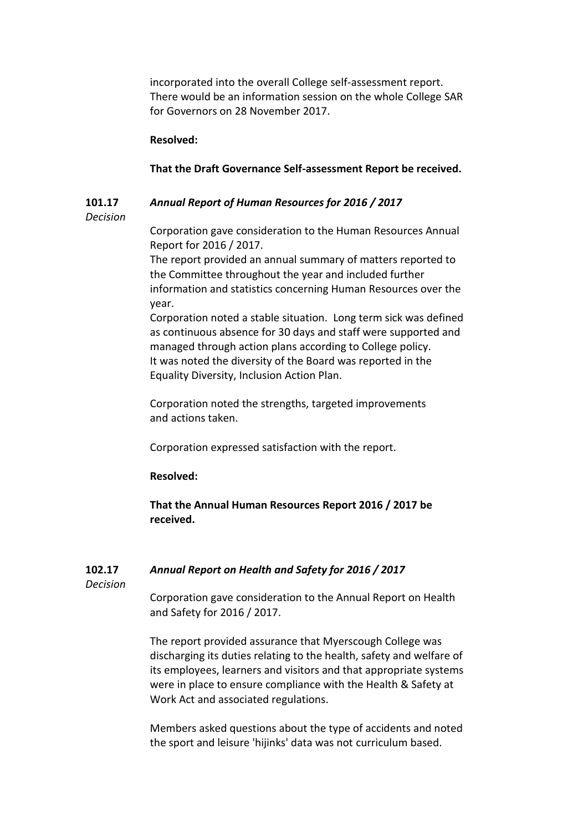incorporated into the overall College self-assessment report. There would be an information session on the whole College SAR for Governors on 28 November 2017.

## **Resolved:**

## **That the Draft Governance Self-assessment Report be received.**

#### **101.17** *Annual Report of Human Resources for 2016 / 2017*

## *Decision*

Corporation gave consideration to the Human Resources Annual Report for 2016 / 2017.

The report provided an annual summary of matters reported to the Committee throughout the year and included further information and statistics concerning Human Resources over the year.

Corporation noted a stable situation. Long term sick was defined as continuous absence for 30 days and staff were supported and managed through action plans according to College policy. It was noted the diversity of the Board was reported in the Equality Diversity, Inclusion Action Plan.

Corporation noted the strengths, targeted improvements and actions taken.

Corporation expressed satisfaction with the report.

## **Resolved:**

**That the Annual Human Resources Report 2016 / 2017 be received.**

#### **102.17** *Annual Report on Health and Safety for 2016 / 2017*

*Decision*

Corporation gave consideration to the Annual Report on Health and Safety for 2016 / 2017.

The report provided assurance that Myerscough College was discharging its duties relating to the health, safety and welfare of its employees, learners and visitors and that appropriate systems were in place to ensure compliance with the Health & Safety at Work Act and associated regulations.

Members asked questions about the type of accidents and noted the sport and leisure 'hijinks' data was not curriculum based.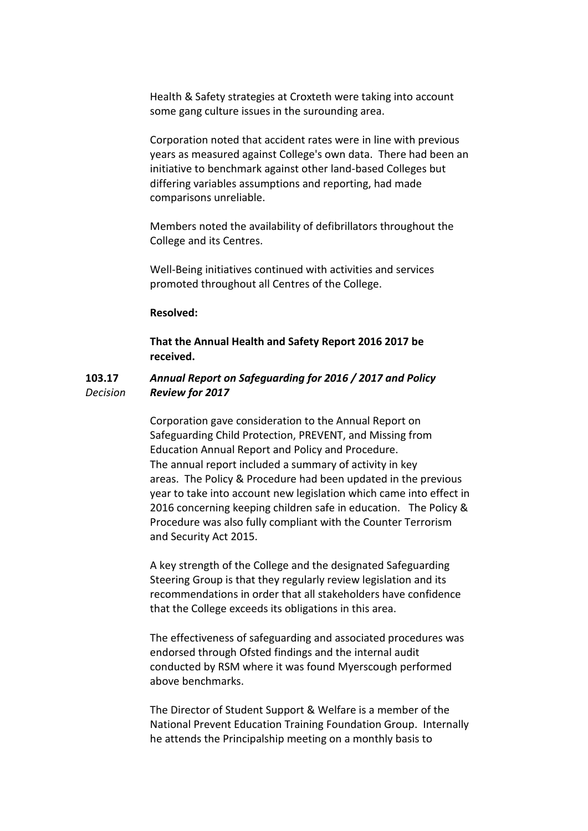Health & Safety strategies at Croxteth were taking into account some gang culture issues in the surounding area.

Corporation noted that accident rates were in line with previous years as measured against College's own data. There had been an initiative to benchmark against other land-based Colleges but differing variables assumptions and reporting, had made comparisons unreliable.

Members noted the availability of defibrillators throughout the College and its Centres.

Well-Being initiatives continued with activities and services promoted throughout all Centres of the College.

### **Resolved:**

**That the Annual Health and Safety Report 2016 2017 be received.**

#### **103.17** *Decision Annual Report on Safeguarding for 2016 / 2017 and Policy Review for 2017*

Corporation gave consideration to the Annual Report on Safeguarding Child Protection, PREVENT, and Missing from Education Annual Report and Policy and Procedure. The annual report included a summary of activity in key areas. The Policy & Procedure had been updated in the previous year to take into account new legislation which came into effect in 2016 concerning keeping children safe in education. The Policy & Procedure was also fully compliant with the Counter Terrorism and Security Act 2015.

A key strength of the College and the designated Safeguarding Steering Group is that they regularly review legislation and its recommendations in order that all stakeholders have confidence that the College exceeds its obligations in this area.

The effectiveness of safeguarding and associated procedures was endorsed through Ofsted findings and the internal audit conducted by RSM where it was found Myerscough performed above benchmarks.

The Director of Student Support & Welfare is a member of the National Prevent Education Training Foundation Group. Internally he attends the Principalship meeting on a monthly basis to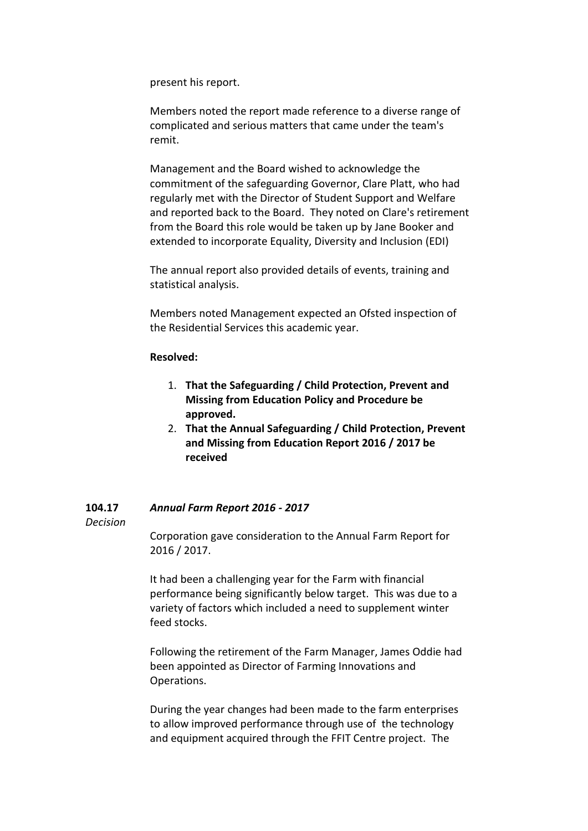present his report.

Members noted the report made reference to a diverse range of complicated and serious matters that came under the team's remit.

Management and the Board wished to acknowledge the commitment of the safeguarding Governor, Clare Platt, who had regularly met with the Director of Student Support and Welfare and reported back to the Board. They noted on Clare's retirement from the Board this role would be taken up by Jane Booker and extended to incorporate Equality, Diversity and Inclusion (EDI)

The annual report also provided details of events, training and statistical analysis.

Members noted Management expected an Ofsted inspection of the Residential Services this academic year.

### **Resolved:**

- 1. **That the Safeguarding / Child Protection, Prevent and Missing from Education Policy and Procedure be approved.**
- 2. **That the Annual Safeguarding / Child Protection, Prevent and Missing from Education Report 2016 / 2017 be received**

#### **104.17** *Annual Farm Report 2016 - 2017*

*Decision*

Corporation gave consideration to the Annual Farm Report for 2016 / 2017.

It had been a challenging year for the Farm with financial performance being significantly below target. This was due to a variety of factors which included a need to supplement winter feed stocks.

Following the retirement of the Farm Manager, James Oddie had been appointed as Director of Farming Innovations and Operations.

During the year changes had been made to the farm enterprises to allow improved performance through use of the technology and equipment acquired through the FFIT Centre project. The